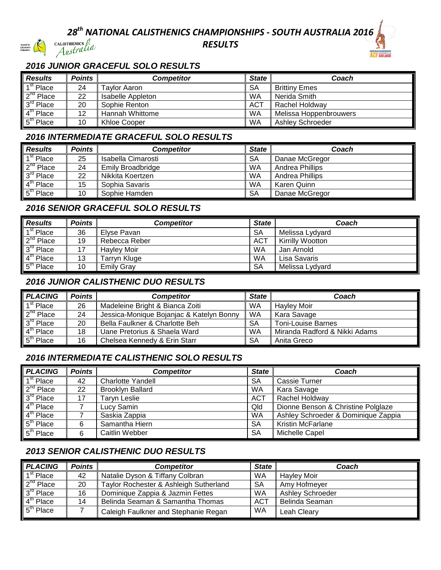# **28<sup>th</sup> NATIONAL CALISTHENICS CHAMPIONSHIPS** - **SOUTH AUSTRALIA 2016**<br>*RESULTS*



#### *RESULTS*



#### *2016 JUNIOR GRACEFUL SOLO RESULTS*

| <b>Results</b>        | <b>Points</b> | <b>Competitor</b> | <b>State</b> | Coach                   |
|-----------------------|---------------|-------------------|--------------|-------------------------|
| $1st$ Place           | 24            | Tavlor Aaron      | <b>SA</b>    | <b>Brittiny Emes</b>    |
| 2 <sup>nd</sup> Place | 22            | Isabelle Appleton | <b>WA</b>    | Nerida Smith            |
| 3 <sup>rd</sup> Place | 20            | Sophie Renton     | <b>ACT</b>   | Rachel Holdway          |
| 4 <sup>th</sup> Place | 12            | Hannah Whittome   | WA           | Melissa Hoppenbrouwers  |
| 5 <sup>th</sup> Place | 10            | Khloe Cooper      | <b>WA</b>    | <b>Ashley Schroeder</b> |

#### *2016 INTERMEDIATE GRACEFUL SOLO RESULTS*

| <b>Results</b>        | Points | <b>Competitor</b>  | <b>State</b> | Coach           |
|-----------------------|--------|--------------------|--------------|-----------------|
| 1 <sup>st</sup> Place | 25     | Isabella Cimarosti | <b>SA</b>    | Danae McGregor  |
| 2 <sup>nd</sup> Place | 24     | Emily Broadbridge  | WA           | Andrea Phillips |
| 3 <sup>rd</sup> Place | 22     | Nikkita Koertzen   | <b>WA</b>    | Andrea Phillips |
| 4 <sup>th</sup> Place | 15     | Sophia Savaris     | WA           | Karen Quinn     |
| 5 <sup>th</sup> Place | 10     | Sophie Hamden      | <b>SA</b>    | Danae McGregor  |

#### *2016 SENIOR GRACEFUL SOLO RESULTS*

| <b>Results</b>        | <b>Points</b> | <b>Competitor</b>  | <b>State</b> | Coach            |
|-----------------------|---------------|--------------------|--------------|------------------|
| 1 <sup>st</sup> Place | 36            | Elvse Pavan        | <b>SA</b>    | Melissa Lydyard  |
| 2 <sup>nd</sup> Place | 19            | Rebecca Reber      | ACT          | Kirrilly Wootton |
| 3 <sup>rd</sup> Place |               | <b>Hayley Moir</b> | WA           | Jan Arnold       |
| 4 <sup>th</sup> Place | 13            | Tarryn Kluge       | WA           | Lisa Savaris     |
| 5 <sup>th</sup> Place | 10            | <b>Emily Grav</b>  | <b>SA</b>    | Melissa Lydyard  |

#### *2016 JUNIOR CALISTHENIC DUO RESULTS*

| <b>PLACING</b>        | <b>Points</b> | <b>State</b><br><b>Competitor</b>        |           | Coach                         |  |
|-----------------------|---------------|------------------------------------------|-----------|-------------------------------|--|
| 1 <sup>st</sup> Place | 26            | Madeleine Bright & Bianca Zoiti          |           | <b>Hayley Moir</b>            |  |
| $2nd$ Place           | 24            | Jessica-Monique Bojanjac & Katelyn Bonny | WA        | Kara Savage                   |  |
| 3 <sup>rd</sup> Place | 20            | Bella Faulkner & Charlotte Beh           | <b>SA</b> | <b>Toni-Louise Barnes</b>     |  |
| 4 <sup>th</sup> Place | 18            | Uane Pretorius & Shaela Ward             | WA        | Miranda Radford & Nikki Adams |  |
| 5 <sup>th</sup> Place | 16            | Chelsea Kennedy & Erin Starr             | <b>SA</b> | Anita Greco                   |  |

#### *2016 INTERMEDIATE CALISTHENIC SOLO RESULTS*

| <b>PLACING</b>        | <b>Points</b> | <b>Competitor</b>                                   | <b>State</b> | Coach                               |
|-----------------------|---------------|-----------------------------------------------------|--------------|-------------------------------------|
| 1 <sup>st</sup> Place | 42            | <b>Charlotte Yandell</b>                            | <b>SA</b>    | Cassie Turner                       |
| $2nd$ Place           | 22            | <b>WA</b><br>Kara Savage<br><b>Brooklyn Ballard</b> |              |                                     |
| 3 <sup>rd</sup> Place | 17            | Taryn Leslie                                        | <b>ACT</b>   | Rachel Holdway                      |
| 4 <sup>th</sup> Place |               | Lucy Samin                                          | Qld          | Dionne Benson & Christine Polglaze  |
| 4 <sup>th</sup> Place |               | Saskia Zappia                                       | WA           | Ashley Schroeder & Dominique Zappia |
| $5th$ Place           | 6             | Samantha Hiern                                      | <b>SA</b>    | <b>Kristin McFarlane</b>            |
| $5th$ Place           | 6             | Caitlin Webber                                      | <b>SA</b>    | Michelle Capel                      |

#### *2013 SENIOR CALISTHENIC DUO RESULTS*

| <b>PLACING</b>        | <b>Points</b> | <b>Competitor</b>                      |                           | Coach                   |
|-----------------------|---------------|----------------------------------------|---------------------------|-------------------------|
| 1 <sup>st</sup> Place | 42            | Natalie Dyson & Tiffany Colbran        | WA<br><b>Hayley Moir</b>  |                         |
| $2nd$ Place           | 20            | Taylor Rochester & Ashleigh Sutherland | <b>SA</b><br>Amy Hofmeyer |                         |
| 3 <sup>rd</sup> Place | 16            | Dominique Zappia & Jazmin Fettes       | WA                        | <b>Ashley Schroeder</b> |
| $4th$ Place           | 14            | Belinda Seaman & Samantha Thomas       | <b>ACT</b>                | Belinda Seaman          |
| 5 <sup>th</sup> Place |               | Caleigh Faulkner and Stephanie Regan   | <b>WA</b>                 | Leah Cleary             |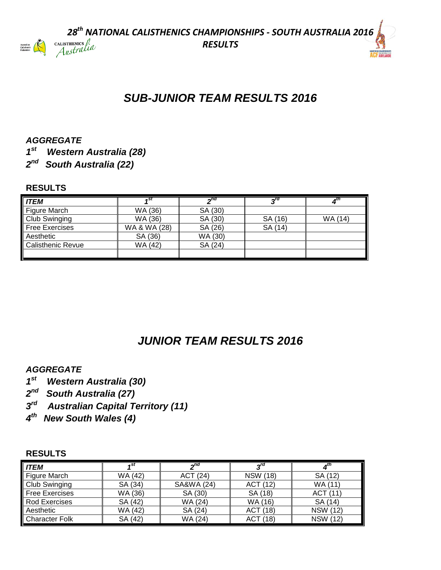**28<sup>th</sup> NATIONAL CALISTHENICS CHAMPIONSHIPS - SOUTH AUSTRALIA 2016**<br>*Australia RESULTS*

**ACF ADELAIDE** 

## *SUB-JUNIOR TEAM RESULTS 2016*

#### *AGGREGATE*

Australian<br>Calisthenic<br>Federation

- *1 st Western Australia (28)*
- *2 nd South Australia (22)*

#### **RESULTS**

| <b>ITEM</b>              |              | പ്∩d    | ~rc     |         |
|--------------------------|--------------|---------|---------|---------|
| Figure March             | WA (36)      | SA (30) |         |         |
| Club Swinging            | WA (36)      | SA (30) | SA (16) | WA (14) |
| <b>Free Exercises</b>    | WA & WA (28) | SA (26) | SA (14) |         |
| Aesthetic                | SA (36)      | WA (30) |         |         |
| <b>Calisthenic Revue</b> | WA (42)      | SA (24) |         |         |
|                          |              |         |         |         |

### *JUNIOR TEAM RESULTS 2016*

#### *AGGREGATE*

- *1 st Western Australia (30)*
- *2 nd South Australia (27)*
- *3 rd Australian Capital Territory (11)*
- *4 th New South Wales (4)*

#### **RESULTS**

| <b>ITEM</b>           | ∡st     | $\boldsymbol{\gamma}$ nd | <sub>מ</sub> ר  |                 |
|-----------------------|---------|--------------------------|-----------------|-----------------|
| Figure March          | WA (42) | ACT (24)                 | <b>NSW (18)</b> | SA (12)         |
| Club Swinging         | SA (34) | SA&WA (24)               | ACT (12)        | WA (11)         |
| <b>Free Exercises</b> | WA (36) | SA (30)                  | SA (18)         | ACT (11)        |
| Rod Exercises         | SA (42) | WA (24)                  | WA (16)         | SA (14)         |
| Aesthetic             | WA (42) | SA (24)                  | ACT (18)        | <b>NSW (12)</b> |
| <b>Character Folk</b> | SA (42) | WA (24)                  | ACT (18)        | <b>NSW (12)</b> |